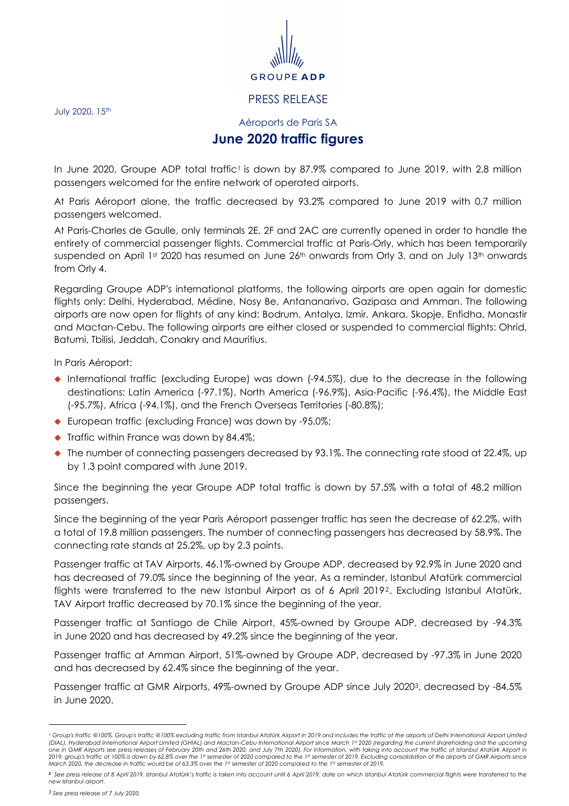

## PRESS RELEASE

July 2020, 15<sup>th</sup>

## Aéroports de Paris SA **June 2020 traffic figures**

In June 2020, Groupe ADP total traffic<sup>1</sup> is down by 87.9% compared to June 2019, with 2.8 million passengers welcomed for the entire network of operated airports.

At Paris Aéroport alone, the traffic decreased by 93.2% compared to June 2019 with 0.7 million passengers welcomed.

At Paris-Charles de Gaulle, only terminals 2E, 2F and 2AC are currently opened in order to handle the entirety of commercial passenger flights. Commercial traffic at Paris-Orly, which has been temporarily suspended on April 1st 2020 has resumed on June 26th onwards from Orly 3, and on July 13th onwards from Orly 4.

Regarding Groupe ADP's international platforms, the following airports are open again for domestic flights only: Delhi, Hyderabad, Médine, Nosy Be, Antananarivo, Gazipasa and Amman. The following airports are now open for flights of any kind: Bodrum, Antalya, Izmir, Ankara, Skopje, Enfidha, Monastir and Mactan-Cebu. The following airports are either closed or suspended to commercial flights: Ohrid, Batumi, Tbilisi, Jeddah, Conakry and Mauritius.

In Paris Aéroport:

- ◆ International traffic (excluding Europe) was down (-94.5%), due to the decrease in the following destinations: Latin America (-97.1%), North America (-96.9%), Asia-Pacific (-96.4%), the Middle East (-95.7%), Africa (-94.1%), and the French Overseas Territories (-80.8%);
- ◆ European traffic (excluding France) was down by -95.0%;
- $\blacklozenge$  Traffic within France was down by 84.4%;
- $\bullet$  The number of connecting passengers decreased by 93.1%. The connecting rate stood at 22.4%, up by 1.3 point compared with June 2019.

Since the beginning the year Groupe ADP total traffic is down by 57.5% with a total of 48.2 million passengers.

Since the beginning of the year Paris Aéroport passenger traffic has seen the decrease of 62.2%, with a total of 19.8 million passengers. The number of connecting passengers has decreased by 58.9%. The connecting rate stands at 25.2%, up by 2.3 points.

Passenger traffic at TAV Airports, 46.1%-owned by Groupe ADP, decreased by 92.9% in June 2020 and has decreased of 79.0% since the beginning of the year. As a reminder, Istanbul Atatürk commercial flights were transferred to the new Istanbul Airport as of 6 April 20192. Excluding Istanbul Atatürk, TAV Airport traffic decreased by 70.1% since the beginning of the year.

Passenger traffic at Santiago de Chile Airport, 45%-owned by Groupe ADP, decreased by -94.3% in June 2020 and has decreased by 49.2% since the beginning of the year.

Passenger traffic at Amman Airport, 51%-owned by Groupe ADP, decreased by -97.3% in June 2020 and has decreased by 62.4% since the beginning of the year.

Passenger traffic at GMR Airports, 49%-owned by Groupe ADP since July 2020<sup>3</sup>, decreased by -84.5% in June 2020.

l

*<sup>1</sup> Group's traffic @100%. Group's traffic @100% excluding traffic from Istanbul Atatürk Airport in 2019 and includes the traffic of the airports of Delhi International Airport Limited*  (DIAL), Hyderabad International Airport Limited (GHIAL) and Mactan-Cebu International Airport since March 1st 2020 (regarding the current shareholding and the upcoming<br>one in GMR Airports see press releases of February 20t

*<sup>2</sup> See press release of 8 April 2019. Istanbul Atatürk's traffic is taken into account until 6 April 2019, date on which Istanbul Atatürk commercial flights were transferred to the new Istanbul airport.* 

*<sup>3</sup>See press release of 7 July 2020.*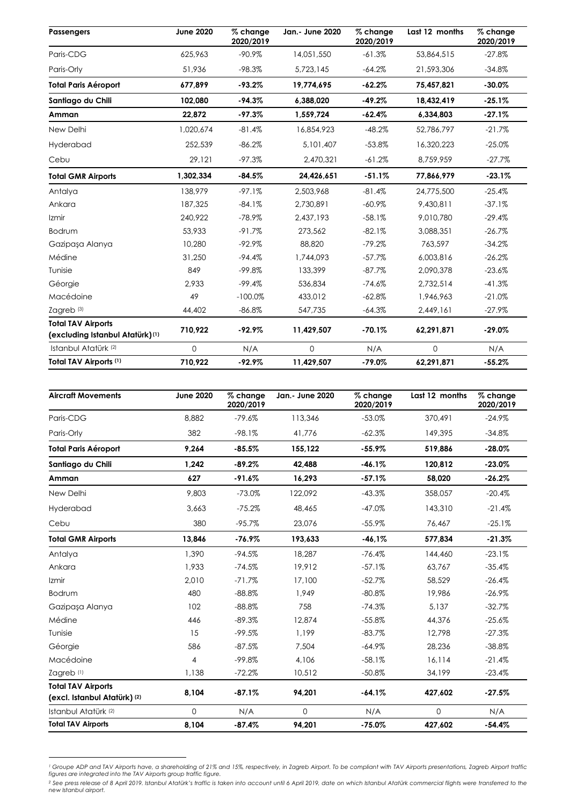| <b>Passengers</b>                                            | <b>June 2020</b> | % change<br>2020/2019 | Jan.- June 2020 | $\overline{\%}$ change<br>2020/2019 | Last 12 months | % change<br>2020/2019 |
|--------------------------------------------------------------|------------------|-----------------------|-----------------|-------------------------------------|----------------|-----------------------|
| Paris-CDG                                                    | 625.963          | $-90.9\%$             | 14.051.550      | $-61.3%$                            | 53,864,515     | $-27.8\%$             |
| Paris-Orly                                                   | 51,936           | $-98.3%$              | 5,723,145       | $-64.2%$                            | 21,593,306     | $-34.8%$              |
| <b>Total Paris Aéroport</b>                                  | 677,899          | $-93.2%$              | 19,774,695      | $-62.2%$                            | 75,457,821     | $-30.0%$              |
| Santiago du Chili                                            | 102.080          | $-94.3%$              | 6.388.020       | $-49.2%$                            | 18.432.419     | $-25.1%$              |
| Amman                                                        | 22,872           | $-97.3%$              | 1,559,724       | $-62.4%$                            | 6,334,803      | $-27.1%$              |
| New Delhi                                                    | 1,020,674        | $-81.4%$              | 16,854,923      | $-48.2%$                            | 52,786,797     | $-21.7%$              |
| Hyderabad                                                    | 252,539          | $-86.2%$              | 5,101,407       | $-53.8%$                            | 16,320,223     | $-25.0%$              |
| Cebu                                                         | 29,121           | $-97.3%$              | 2,470,321       | $-61.2%$                            | 8,759,959      | $-27.7%$              |
| <b>Total GMR Airports</b>                                    | 1,302,334        | $-84.5%$              | 24,426,651      | $-51.1%$                            | 77,866,979     | $-23.1%$              |
| Antalya                                                      | 138,979          | $-97.1%$              | 2,503,968       | $-81.4%$                            | 24,775,500     | $-25.4%$              |
| Ankara                                                       | 187,325          | $-84.1%$              | 2,730,891       | $-60.9\%$                           | 9,430,811      | $-37.1%$              |
| Izmir                                                        | 240.922          | $-78.9\%$             | 2.437.193       | $-58.1%$                            | 9,010,780      | $-29.4%$              |
| Bodrum                                                       | 53,933           | $-91.7%$              | 273,562         | $-82.1%$                            | 3,088,351      | $-26.7%$              |
| Gazipasa Alanya                                              | 10,280           | $-92.9%$              | 88,820          | $-79.2%$                            | 763,597        | $-34.2%$              |
| Médine                                                       | 31,250           | $-94.4%$              | 1,744,093       | $-57.7%$                            | 6,003,816      | $-26.2%$              |
| Tunisie                                                      | 849              | $-99.8%$              | 133,399         | $-87.7%$                            | 2,090,378      | $-23.6%$              |
| Géorgie                                                      | 2,933            | $-99.4%$              | 536,834         | $-74.6%$                            | 2,732,514      | $-41.3%$              |
| Macédoine                                                    | 49               | $-100.0%$             | 433,012         | $-62.8%$                            | 1,946,963      | $-21.0%$              |
| Zagreb <sup>(3)</sup>                                        | 44,402           | $-86.8%$              | 547,735         | $-64.3%$                            | 2,449,161      | $-27.9%$              |
| <b>Total TAV Airports</b><br>(excluding Istanbul Atatürk)(1) | 710,922          | $-92.9%$              | 11,429,507      | $-70.1%$                            | 62,291,871     | $-29.0%$              |
| Istanbul Atatürk (2)                                         | $\Omega$         | N/A                   | 0               | N/A                                 | $\mathbf 0$    | N/A                   |
| Total TAV Airports (1)                                       | 710,922          | $-92.9%$              | 11,429,507      | $-79.0%$                            | 62,291,871     | $-55.2%$              |

| <b>Aircraft Movements</b>                                 | <b>June 2020</b> | % change<br>2020/2019 | Jan.- June 2020 | % change<br>2020/2019 | Last 12 months | % change<br>2020/2019 |
|-----------------------------------------------------------|------------------|-----------------------|-----------------|-----------------------|----------------|-----------------------|
| Paris-CDG                                                 | 8,882            | $-79.6%$              | 113,346         | $-53.0%$              | 370.491        | $-24.9%$              |
| Paris-Orly                                                | 382              | $-98.1%$              | 41.776          | $-62.3%$              | 149,395        | $-34.8%$              |
| <b>Total Paris Aéroport</b>                               | 9,264            | $-85.5%$              | 155,122         | $-55.9%$              | 519,886        | $-28.0%$              |
| Santiago du Chili                                         | 1.242            | $-89.2%$              | 42.488          | $-46.1%$              | 120,812        | $-23.0%$              |
| Amman                                                     | 627              | $-91.6%$              | 16,293          | $-57.1%$              | 58,020         | $-26.2%$              |
| New Delhi                                                 | 9,803            | $-73.0%$              | 122,092         | $-43.3%$              | 358,057        | $-20.4%$              |
| Hyderabad                                                 | 3,663            | $-75.2%$              | 48.465          | $-47.0%$              | 143,310        | $-21.4%$              |
| Cebu                                                      | 380              | $-95.7%$              | 23,076          | $-55.9%$              | 76,467         | $-25.1%$              |
| <b>Total GMR Airports</b>                                 | 13,846           | $-76.9%$              | 193,633         | $-46.1%$              | 577,834        | $-21.3%$              |
| Antalya                                                   | 1.390            | $-94.5%$              | 18.287          | $-76.4%$              | 144,460        | $-23.1%$              |
| Ankara                                                    | 1.933            | $-74.5%$              | 19.912          | $-57.1%$              | 63,767         | $-35.4%$              |
| Izmir                                                     | 2,010            | $-71.7%$              | 17,100          | $-52.7%$              | 58,529         | $-26.4%$              |
| Bodrum                                                    | 480              | $-88.8%$              | 1.949           | $-80.8%$              | 19,986         | $-26.9%$              |
| Gazipaşa Alanya                                           | 102              | $-88.8%$              | 758             | $-74.3%$              | 5,137          | $-32.7%$              |
| Médine                                                    | 446              | $-89.3%$              | 12.874          | $-55.8%$              | 44,376         | $-25.6%$              |
| Tunisie                                                   | 15               | $-99.5%$              | 1,199           | $-83.7%$              | 12,798         | $-27.3%$              |
| Géorgie                                                   | 586              | $-87.5%$              | 7.504           | $-64.9%$              | 28,236         | $-38.8%$              |
| Macédoine                                                 | $\overline{4}$   | $-99.8%$              | 4.106           | $-58.1%$              | 16, 114        | $-21.4%$              |
| Zagreb <sup>(1)</sup>                                     | 1,138            | $-72.2%$              | 10,512          | $-50.8%$              | 34,199         | $-23.4%$              |
| <b>Total TAV Airports</b><br>(excl. Istanbul Atatürk) (2) | 8,104            | $-87.1%$              | 94,201          | $-64.1%$              | 427,602        | $-27.5%$              |
| Istanbul Atatürk (2)                                      | $\Omega$         | N/A                   | $\mathbf{0}$    | N/A                   | $\mathbf{O}$   | N/A                   |
| <b>Total TAV Airports</b>                                 | 8,104            | $-87.4%$              | 94,201          | $-75.0%$              | 427,602        | $-54.4%$              |

<sup>&#</sup>x27; Groupe ADP and TAV Airports have, a shareholding of 21% and 15%, respectively, in Zagreb Airport. To be compliant with TAV Airports presentations, Zagreb Airport traffic<br>figures are integrated into the TAV Airports group

l

*<sup>2</sup> See press release of 8 April 2019. Istanbul Atatürk's traffic is taken into account until 6 April 2019, date on which Istanbul Atatürk commercial flights were transferred to the new Istanbul airport.*